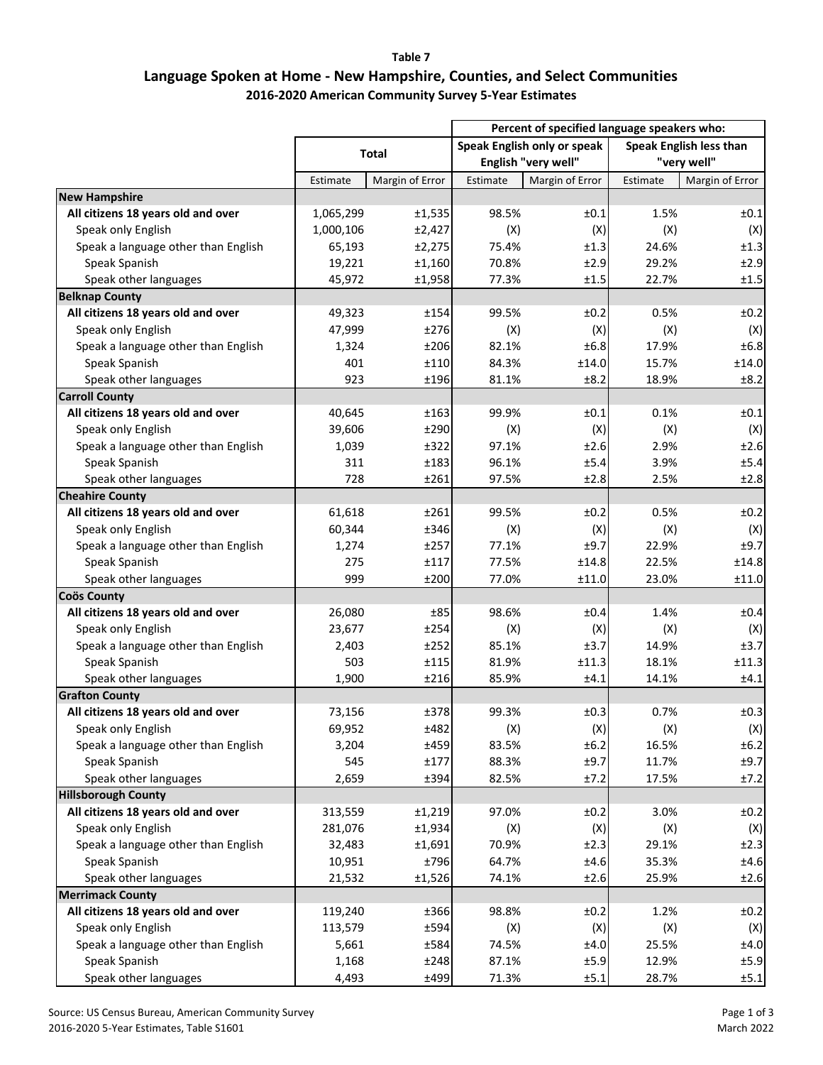**Table 7**

## **Language Spoken at Home ‐ New Hampshire, Counties, and Select Communities 2016‐2020 American Community Survey 5‐Year Estimates**

|                                     |              |                 | Percent of specified language speakers who: |                             |                         |                 |
|-------------------------------------|--------------|-----------------|---------------------------------------------|-----------------------------|-------------------------|-----------------|
|                                     | <b>Total</b> |                 |                                             | Speak English only or speak | Speak English less than |                 |
|                                     |              |                 | English "very well"                         |                             | "very well"             |                 |
|                                     | Estimate     | Margin of Error | Estimate                                    | Margin of Error             | Estimate                | Margin of Error |
| <b>New Hampshire</b>                |              |                 |                                             |                             |                         |                 |
| All citizens 18 years old and over  | 1,065,299    | ±1,535          | 98.5%                                       | ±0.1                        | 1.5%                    | ±0.1            |
| Speak only English                  | 1,000,106    | ±2,427          | (X)                                         | (X)                         | (X)                     | (X)             |
| Speak a language other than English | 65,193       | ±2,275          | 75.4%                                       | ±1.3                        | 24.6%                   | ±1.3            |
| Speak Spanish                       | 19,221       | ±1,160          | 70.8%                                       | ±2.9                        | 29.2%                   | ±2.9            |
| Speak other languages               | 45,972       | ±1,958          | 77.3%                                       | ±1.5                        | 22.7%                   | ±1.5            |
| <b>Belknap County</b>               |              |                 |                                             |                             |                         |                 |
| All citizens 18 years old and over  | 49,323       | ±154            | 99.5%                                       | ±0.2                        | 0.5%                    | ±0.2            |
| Speak only English                  | 47,999       | ±276            | (X)                                         | (X)                         | (X)                     | (X)             |
| Speak a language other than English | 1,324        | ±206            | 82.1%                                       | ±6.8                        | 17.9%                   | ±6.8            |
| Speak Spanish                       | 401          | ±110            | 84.3%                                       | ±14.0                       | 15.7%                   | ±14.0           |
| Speak other languages               | 923          | ±196            | 81.1%                                       | ±8.2                        | 18.9%                   | ±8.2            |
| <b>Carroll County</b>               |              |                 |                                             |                             |                         |                 |
| All citizens 18 years old and over  | 40,645       | ±163            | 99.9%                                       | ±0.1                        | 0.1%                    | ±0.1            |
| Speak only English                  | 39,606       | ±290            | (X)                                         | (X)                         | (X)                     | (X)             |
| Speak a language other than English | 1,039        | ±322            | 97.1%                                       | ±2.6                        | 2.9%                    | ±2.6            |
| Speak Spanish                       | 311          | ±183            | 96.1%                                       | ±5.4                        | 3.9%                    | ±5.4            |
| Speak other languages               | 728          | ±261            | 97.5%                                       | ±2.8                        | 2.5%                    | ±2.8            |
| <b>Cheahire County</b>              |              |                 |                                             |                             |                         |                 |
| All citizens 18 years old and over  | 61,618       | ±261            | 99.5%                                       | ±0.2                        | 0.5%                    | ±0.2            |
| Speak only English                  | 60,344       | ±346            | (X)                                         | (X)                         | (X)                     | (X)             |
| Speak a language other than English | 1,274        | ±257            | 77.1%                                       | ±9.7                        | 22.9%                   | ±9.7            |
| Speak Spanish                       | 275          | ±117            | 77.5%                                       | ±14.8                       | 22.5%                   | ±14.8           |
| Speak other languages               | 999          | ±200            | 77.0%                                       | ±11.0                       | 23.0%                   | ±11.0           |
| <b>Coös County</b>                  |              |                 |                                             |                             |                         |                 |
| All citizens 18 years old and over  | 26,080       | ±85             | 98.6%                                       | ±0.4                        | 1.4%                    | ±0.4            |
| Speak only English                  | 23,677       | ±254            | (X)                                         | (X)                         | (X)                     | (X)             |
| Speak a language other than English | 2,403        | ±252            | 85.1%                                       | ±3.7                        | 14.9%                   | ±3.7            |
| Speak Spanish                       | 503          | ±115            | 81.9%                                       | ±11.3                       | 18.1%                   | ±11.3           |
| Speak other languages               | 1,900        | ±216            | 85.9%                                       | ±4.1                        | 14.1%                   | ±4.1            |
| <b>Grafton County</b>               |              |                 |                                             |                             |                         |                 |
| All citizens 18 years old and over  | 73,156       | ±378            | 99.3%                                       | ±0.3                        | 0.7%                    | ±0.3            |
| Speak only English                  | 69,952       | ±482            | (X)                                         | (X)                         | (X)                     | (X)             |
| Speak a language other than English | 3,204        | ±459            | 83.5%                                       | ±6.2                        | 16.5%                   | ±6.2            |
| Speak Spanish                       | 545          | ±177            | 88.3%                                       | ±9.7                        | 11.7%                   | ±9.7            |
| Speak other languages               | 2,659        | ±394            | 82.5%                                       | ±7.2                        | 17.5%                   | ±7.2            |
| <b>Hillsborough County</b>          |              |                 |                                             |                             |                         |                 |
| All citizens 18 years old and over  | 313,559      | ±1,219          | 97.0%                                       | ±0.2                        | 3.0%                    | ±0.2            |
| Speak only English                  | 281,076      | ±1,934          | (X)                                         | (X)                         | (X)                     | (X)             |
| Speak a language other than English | 32,483       | ±1,691          | 70.9%                                       | ±2.3                        | 29.1%                   | ±2.3            |
|                                     |              | ±796            |                                             |                             |                         | ±4.6            |
| Speak Spanish                       | 10,951       |                 | 64.7%                                       | ±4.6                        | 35.3%                   |                 |
| Speak other languages               | 21,532       | ±1,526          | 74.1%                                       | ±2.6                        | 25.9%                   | ±2.6            |
| <b>Merrimack County</b>             |              |                 |                                             |                             |                         |                 |
| All citizens 18 years old and over  | 119,240      | ±366            | 98.8%                                       | ±0.2                        | 1.2%                    | ±0.2            |
| Speak only English                  | 113,579      | ±594            | (X)                                         | (X)                         | (X)                     | (X)             |
| Speak a language other than English | 5,661        | ±584            | 74.5%                                       | ±4.0                        | 25.5%                   | ±4.0            |
| Speak Spanish                       | 1,168        | ±248            | 87.1%                                       | ±5.9                        | 12.9%                   | ±5.9            |
| Speak other languages               | 4,493        | ±499            | 71.3%                                       | ±5.1                        | 28.7%                   | ±5.1            |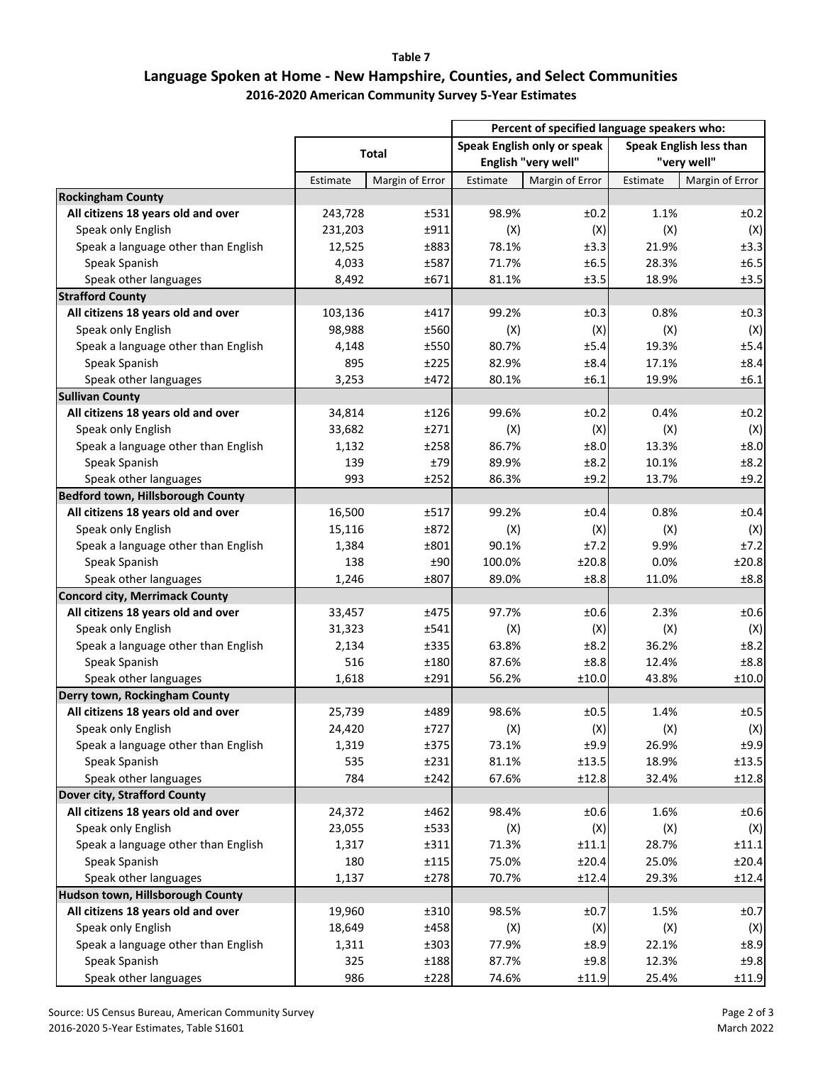**Table 7**

## **Language Spoken at Home ‐ New Hampshire, Counties, and Select Communities 2016‐2020 American Community Survey 5‐Year Estimates**

|                                       |              |                 | Percent of specified language speakers who: |                 |                         |                 |
|---------------------------------------|--------------|-----------------|---------------------------------------------|-----------------|-------------------------|-----------------|
|                                       | <b>Total</b> |                 | Speak English only or speak                 |                 | Speak English less than |                 |
|                                       |              |                 | English "very well"                         |                 | "very well"             |                 |
|                                       | Estimate     | Margin of Error | Estimate                                    | Margin of Error | Estimate                | Margin of Error |
| <b>Rockingham County</b>              |              |                 |                                             |                 |                         |                 |
| All citizens 18 years old and over    | 243,728      | ±531            | 98.9%                                       | ±0.2            | 1.1%                    | ±0.2            |
| Speak only English                    | 231,203      | ±911            | (X)                                         | (X)             | (X)                     | (X)             |
| Speak a language other than English   | 12,525       | ±883            | 78.1%                                       | ±3.3            | 21.9%                   | ±3.3            |
| Speak Spanish                         | 4,033        | ±587            | 71.7%                                       | ±6.5            | 28.3%                   | ±6.5            |
| Speak other languages                 | 8,492        | ±671            | 81.1%                                       | ±3.5            | 18.9%                   | ±3.5            |
| <b>Strafford County</b>               |              |                 |                                             |                 |                         |                 |
| All citizens 18 years old and over    | 103,136      | ±417            | 99.2%                                       | ±0.3            | 0.8%                    | ±0.3            |
| Speak only English                    | 98,988       | ±560            | (X)                                         | (X)             | (X)                     | (X)             |
| Speak a language other than English   | 4,148        | ±550            | 80.7%                                       | ±5.4            | 19.3%                   | ±5.4            |
| Speak Spanish                         | 895          | ±225            | 82.9%                                       | ±8.4            | 17.1%                   | ±8.4            |
| Speak other languages                 | 3,253        | ±472            | 80.1%                                       | ±6.1            | 19.9%                   | ±6.1            |
| <b>Sullivan County</b>                |              |                 |                                             |                 |                         |                 |
| All citizens 18 years old and over    | 34,814       | ±126            | 99.6%                                       | ±0.2            | 0.4%                    | ±0.2            |
| Speak only English                    | 33,682       | ±271            | (X)                                         | (X)             | (X)                     | (X)             |
| Speak a language other than English   | 1,132        | ±258            | 86.7%                                       | ±8.0            | 13.3%                   | ±8.0            |
| Speak Spanish                         | 139          | ±79             | 89.9%                                       | ±8.2            | 10.1%                   | ±8.2            |
| Speak other languages                 | 993          | ±252            | 86.3%                                       | ±9.2            | 13.7%                   | ±9.2            |
| Bedford town, Hillsborough County     |              |                 |                                             |                 |                         |                 |
| All citizens 18 years old and over    | 16,500       | ±517            | 99.2%                                       | ±0.4            | 0.8%                    | ±0.4            |
|                                       |              | ±872            |                                             |                 |                         |                 |
| Speak only English                    | 15,116       |                 | (X)                                         | (X)<br>±7.2     | (X)                     | (X)             |
| Speak a language other than English   | 1,384        | ±801            | 90.1%                                       |                 | 9.9%                    | ±7.2            |
| Speak Spanish                         | 138          | ±90             | 100.0%                                      | ±20.8           | 0.0%                    | ±20.8           |
| Speak other languages                 | 1,246        | ±807            | 89.0%                                       | ±8.8            | 11.0%                   | ±8.8            |
| <b>Concord city, Merrimack County</b> |              |                 |                                             |                 |                         |                 |
| All citizens 18 years old and over    | 33,457       | ±475            | 97.7%                                       | ±0.6            | 2.3%                    | ±0.6            |
| Speak only English                    | 31,323       | ±541            | (X)                                         | (X)             | (X)                     | (X)             |
| Speak a language other than English   | 2,134        | ±335            | 63.8%                                       | ±8.2            | 36.2%                   | ±8.2            |
| Speak Spanish                         | 516          | ±180            | 87.6%                                       | ±8.8            | 12.4%                   | ±8.8            |
| Speak other languages                 | 1,618        | ±291            | 56.2%                                       | ±10.0           | 43.8%                   | ±10.0           |
| Derry town, Rockingham County         |              |                 |                                             |                 |                         |                 |
| All citizens 18 years old and over    | 25,739       | ±489            | 98.6%                                       | ±0.5            | 1.4%                    | ±0.5            |
| Speak only English                    | 24,420       | ±727            | (X)                                         | (X)             | (X)                     | (X)             |
| Speak a language other than English   | 1,319        | ±375            | 73.1%                                       | ±9.9            | 26.9%                   | ±9.9            |
| Speak Spanish                         | 535          | ±231            | 81.1%                                       | ±13.5           | 18.9%                   | ±13.5           |
| Speak other languages                 | 784          | ±242            | 67.6%                                       | ±12.8           | 32.4%                   | ±12.8           |
| Dover city, Strafford County          |              |                 |                                             |                 |                         |                 |
| All citizens 18 years old and over    | 24,372       | ±462            | 98.4%                                       | ±0.6            | 1.6%                    | ±0.6            |
| Speak only English                    | 23,055       | ±533            | (X)                                         | (X)             | (X)                     | (X)             |
| Speak a language other than English   | 1,317        | ±311            | 71.3%                                       | $\pm 11.1$      | 28.7%                   | ±11.1           |
| Speak Spanish                         | 180          | ±115            | 75.0%                                       | ±20.4           | 25.0%                   | ±20.4           |
| Speak other languages                 | 1,137        | ±278            | 70.7%                                       | ±12.4           | 29.3%                   | ±12.4           |
| Hudson town, Hillsborough County      |              |                 |                                             |                 |                         |                 |
| All citizens 18 years old and over    | 19,960       | ±310            | 98.5%                                       | ±0.7            | 1.5%                    | ±0.7            |
| Speak only English                    | 18,649       | ±458            | (X)                                         | (X)             | (X)                     | (X)             |
| Speak a language other than English   | 1,311        | ±303            | 77.9%                                       | ±8.9            | 22.1%                   | ±8.9            |
| Speak Spanish                         | 325          | ±188            | 87.7%                                       | ±9.8            | 12.3%                   | ±9.8            |
| Speak other languages                 | 986          | ±228            | 74.6%                                       | $\pm 11.9$      | 25.4%                   | ±11.9           |